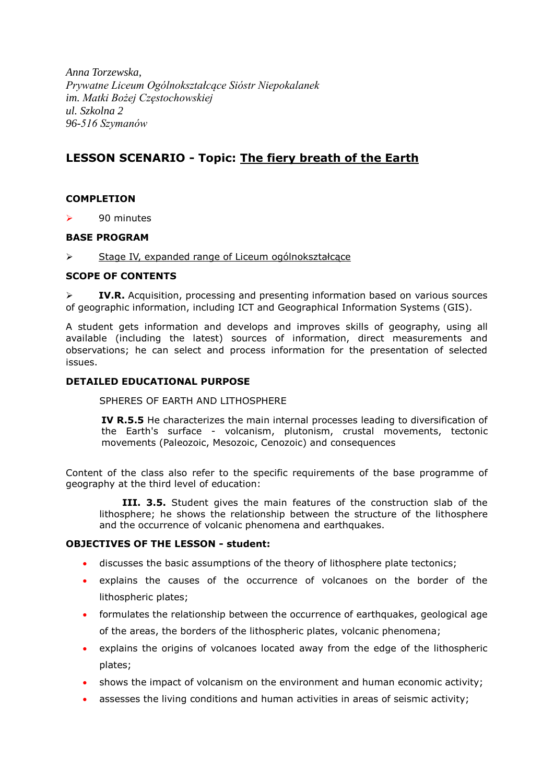*Anna Torzewska, Prywatne Liceum Ogólnokształcące Sióstr Niepokalanek im. Matki Bożej Częstochowskiej ul. Szkolna 2 96-516 Szymanów*

# **LESSON SCENARIO - Topic: The fiery breath of the Earth**

# **COMPLETION**

 $\geq$  90 minutes

## **BASE PROGRAM**

Stage IV, expanded range of Liceum ogólnokształcace

## **SCOPE OF CONTENTS**

 **IV.R.** Acquisition, processing and presenting information based on various sources of geographic information, including ICT and Geographical Information Systems (GIS).

A student gets information and develops and improves skills of geography, using all available (including the latest) sources of information, direct measurements and observations; he can select and process information for the presentation of selected issues.

## **DETAILED EDUCATIONAL PURPOSE**

SPHERES OF EARTH AND LITHOSPHERE

**IV R.5.5** He characterizes the main internal processes leading to diversification of the Earth's surface - volcanism, plutonism, crustal movements, tectonic movements (Paleozoic, Mesozoic, Cenozoic) and consequences

Content of the class also refer to the specific requirements of the base programme of geography at the third level of education:

 **III. 3.5.** Student gives the main features of the construction slab of the lithosphere; he shows the relationship between the structure of the lithosphere and the occurrence of volcanic phenomena and earthquakes.

# **OBJECTIVES OF THE LESSON - student:**

- discusses the basic assumptions of the theory of lithosphere plate tectonics;
- explains the causes of the occurrence of volcanoes on the border of the lithospheric plates;
- formulates the relationship between the occurrence of earthquakes, geological age of the areas, the borders of the lithospheric plates, volcanic phenomena;
- explains the origins of volcanoes located away from the edge of the lithospheric plates;
- shows the impact of volcanism on the environment and human economic activity;
- assesses the living conditions and human activities in areas of seismic activity;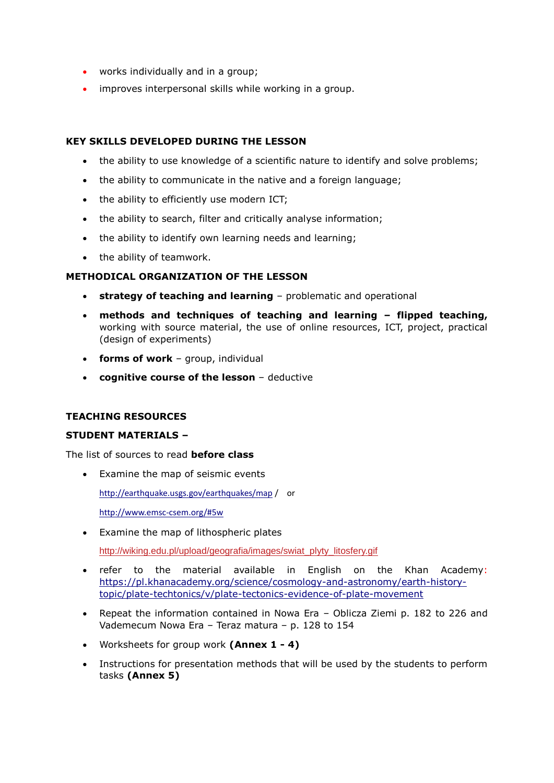- works individually and in a group;
- improves interpersonal skills while working in a group.

## **KEY SKILLS DEVELOPED DURING THE LESSON**

- the ability to use knowledge of a scientific nature to identify and solve problems;
- the ability to communicate in the native and a foreign language;
- the ability to efficiently use modern ICT;
- the ability to search, filter and critically analyse information;
- the ability to identify own learning needs and learning;
- the ability of teamwork.

## **METHODICAL ORGANIZATION OF THE LESSON**

- **strategy of teaching and learning** problematic and operational
- **methods and techniques of teaching and learning – flipped teaching,**  working with source material, the use of online resources, ICT, project, practical (design of experiments)
- **forms of work**  group, individual
- **cognitive course of the lesson** deductive

# **TEACHING RESOURCES**

#### **STUDENT MATERIALS –**

The list of sources to read **before class**

Examine the map of seismic events

<http://earthquake.usgs.gov/earthquakes/map> / or

<http://www.emsc-csem.org/#5w>

Examine the map of lithospheric plates

[http://wiking.edu.pl/upload/geografia/images/swiat\\_plyty\\_litosfery.gif](http://wiking.edu.pl/upload/geografia/images/swiat_plyty_litosfery.gif)

- refer to the material available in English on the Khan Academy: [https://pl.khanacademy.org/science/cosmology-and-astronomy/earth-history](https://pl.khanacademy.org/science/cosmology-and-astronomy/earth-history-topic/plate-techtonics/v/plate-tectonics-evidence-of-plate-movement)[topic/plate-techtonics/v/plate-tectonics-evidence-of-plate-movement](https://pl.khanacademy.org/science/cosmology-and-astronomy/earth-history-topic/plate-techtonics/v/plate-tectonics-evidence-of-plate-movement)
- Repeat the information contained in Nowa Era Oblicza Ziemi p. 182 to 226 and Vademecum Nowa Era – Teraz matura – p. 128 to 154
- Worksheets for group work **(Annex 1 - 4)**
- Instructions for presentation methods that will be used by the students to perform tasks **(Annex 5)**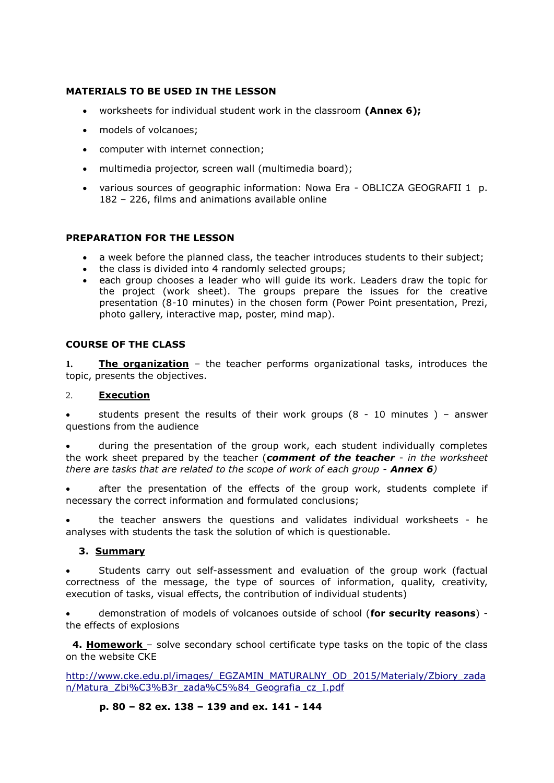# **MATERIALS TO BE USED IN THE LESSON**

- worksheets for individual student work in the classroom **(Annex 6);**
- models of volcanoes;
- computer with internet connection;
- multimedia projector, screen wall (multimedia board);
- various sources of geographic information: Nowa Era OBLICZA GEOGRAFII 1 p. 182 – 226, films and animations available online

## **PREPARATION FOR THE LESSON**

- a week before the planned class, the teacher introduces students to their subject;
- the class is divided into 4 randomly selected groups;
- each group chooses a leader who will guide its work. Leaders draw the topic for the project (work sheet). The groups prepare the issues for the creative presentation (8-10 minutes) in the chosen form (Power Point presentation, Prezi, photo gallery, interactive map, poster, mind map).

# **COURSE OF THE CLASS**

**1. The organization** – the teacher performs organizational tasks, introduces the topic, presents the objectives.

#### 2. **Execution**

students present the results of their work groups  $(8 - 10 \text{ minutes})$  – answer questions from the audience

 during the presentation of the group work, each student individually completes the work sheet prepared by the teacher (*comment of the teacher* - *in the worksheet there are tasks that are related to the scope of work of each group - Annex 6)*

 after the presentation of the effects of the group work, students complete if necessary the correct information and formulated conclusions;

 the teacher answers the questions and validates individual worksheets - he analyses with students the task the solution of which is questionable.

#### **3. Summary**

 Students carry out self-assessment and evaluation of the group work (factual correctness of the message, the type of sources of information, quality, creativity, execution of tasks, visual effects, the contribution of individual students)

 demonstration of models of volcanoes outside of school (**for security reasons**) the effects of explosions

 **4. Homework** – solve secondary school certificate type tasks on the topic of the class on the website CKE

[http://www.cke.edu.pl/images/\\_EGZAMIN\\_MATURALNY\\_OD\\_2015/Materialy/Zbiory\\_zada](http://www.cke.edu.pl/images/_EGZAMIN_MATURALNY_OD_2015/Materialy/Zbiory_zadan/Matura_Zbiór_zadań_Geografia_cz_I.pdf) [n/Matura\\_Zbi%C3%B3r\\_zada%C5%84\\_Geografia\\_cz\\_I.pdf](http://www.cke.edu.pl/images/_EGZAMIN_MATURALNY_OD_2015/Materialy/Zbiory_zadan/Matura_Zbiór_zadań_Geografia_cz_I.pdf) 

#### **p. 80 – 82 ex. 138 – 139 and ex. 141 - 144**